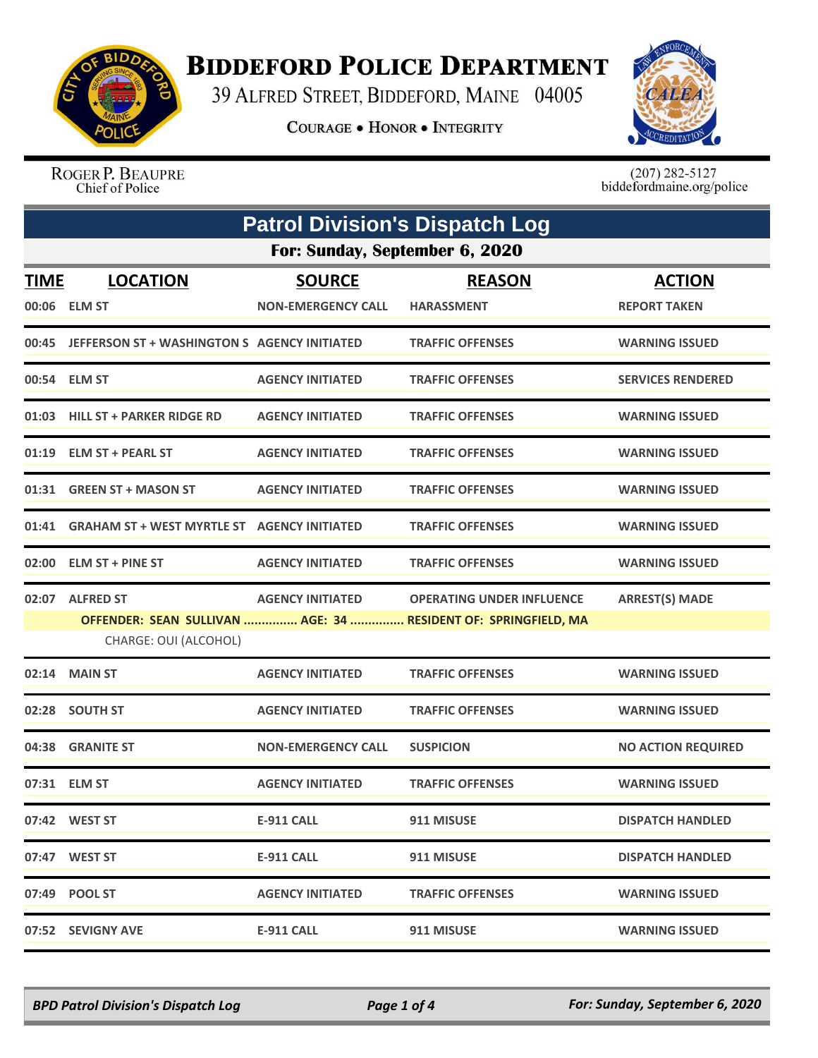

## **BIDDEFORD POLICE DEPARTMENT**

39 ALFRED STREET, BIDDEFORD, MAINE 04005

**COURAGE . HONOR . INTEGRITY** 



ROGER P. BEAUPRE Chief of Police

 $(207)$  282-5127<br>biddefordmaine.org/police

| <b>Patrol Division's Dispatch Log</b> |                                                    |                           |                                                                |                           |  |  |
|---------------------------------------|----------------------------------------------------|---------------------------|----------------------------------------------------------------|---------------------------|--|--|
|                                       | For: Sunday, September 6, 2020                     |                           |                                                                |                           |  |  |
| <b>TIME</b>                           | <b>LOCATION</b>                                    | <b>SOURCE</b>             | <b>REASON</b>                                                  | <b>ACTION</b>             |  |  |
|                                       | 00:06 ELM ST                                       | <b>NON-EMERGENCY CALL</b> | <b>HARASSMENT</b>                                              | <b>REPORT TAKEN</b>       |  |  |
|                                       | 00:45 JEFFERSON ST + WASHINGTON S AGENCY INITIATED |                           | <b>TRAFFIC OFFENSES</b>                                        | <b>WARNING ISSUED</b>     |  |  |
|                                       | 00:54 ELM ST                                       | <b>AGENCY INITIATED</b>   | <b>TRAFFIC OFFENSES</b>                                        | <b>SERVICES RENDERED</b>  |  |  |
|                                       | 01:03 HILL ST + PARKER RIDGE RD                    | <b>AGENCY INITIATED</b>   | <b>TRAFFIC OFFENSES</b>                                        | <b>WARNING ISSUED</b>     |  |  |
|                                       | 01:19 ELM ST + PEARL ST                            | <b>AGENCY INITIATED</b>   | <b>TRAFFIC OFFENSES</b>                                        | <b>WARNING ISSUED</b>     |  |  |
|                                       | 01:31 GREEN ST + MASON ST                          | <b>AGENCY INITIATED</b>   | <b>TRAFFIC OFFENSES</b>                                        | <b>WARNING ISSUED</b>     |  |  |
|                                       | 01:41 GRAHAM ST + WEST MYRTLE ST AGENCY INITIATED  |                           | <b>TRAFFIC OFFENSES</b>                                        | <b>WARNING ISSUED</b>     |  |  |
|                                       | 02:00 ELM ST + PINE ST                             | <b>AGENCY INITIATED</b>   | <b>TRAFFIC OFFENSES</b>                                        | <b>WARNING ISSUED</b>     |  |  |
|                                       | 02:07 ALFRED ST                                    | <b>AGENCY INITIATED</b>   | <b>OPERATING UNDER INFLUENCE</b>                               | <b>ARREST(S) MADE</b>     |  |  |
|                                       | CHARGE: OUI (ALCOHOL)                              |                           | OFFENDER: SEAN SULLIVAN  AGE: 34  RESIDENT OF: SPRINGFIELD, MA |                           |  |  |
|                                       | 02:14 MAIN ST                                      | <b>AGENCY INITIATED</b>   | <b>TRAFFIC OFFENSES</b>                                        | <b>WARNING ISSUED</b>     |  |  |
|                                       | 02:28 SOUTH ST                                     | <b>AGENCY INITIATED</b>   | <b>TRAFFIC OFFENSES</b>                                        | <b>WARNING ISSUED</b>     |  |  |
|                                       | 04:38 GRANITE ST                                   | <b>NON-EMERGENCY CALL</b> | <b>SUSPICION</b>                                               | <b>NO ACTION REQUIRED</b> |  |  |
|                                       | 07:31 ELM ST                                       | <b>AGENCY INITIATED</b>   | <b>TRAFFIC OFFENSES</b>                                        | <b>WARNING ISSUED</b>     |  |  |
|                                       | 07:42 WEST ST                                      | <b>E-911 CALL</b>         | 911 MISUSE                                                     | <b>DISPATCH HANDLED</b>   |  |  |
|                                       | 07:47 WEST ST                                      | <b>E-911 CALL</b>         | 911 MISUSE                                                     | <b>DISPATCH HANDLED</b>   |  |  |
|                                       | 07:49 POOL ST                                      | <b>AGENCY INITIATED</b>   | <b>TRAFFIC OFFENSES</b>                                        | <b>WARNING ISSUED</b>     |  |  |
|                                       | 07:52 SEVIGNY AVE                                  | <b>E-911 CALL</b>         | 911 MISUSE                                                     | <b>WARNING ISSUED</b>     |  |  |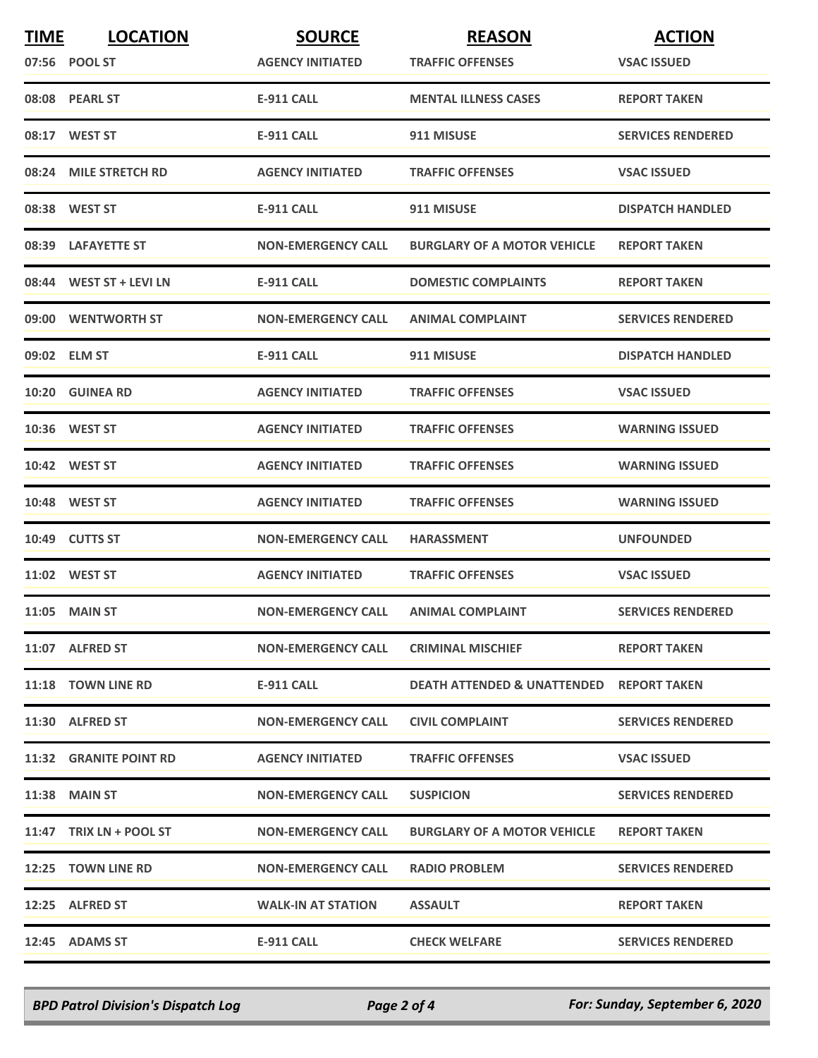| <b>TIME</b> | <b>LOCATION</b>         | <b>SOURCE</b>             | <b>REASON</b>                                       | <b>ACTION</b>            |
|-------------|-------------------------|---------------------------|-----------------------------------------------------|--------------------------|
|             | 07:56 POOL ST           | <b>AGENCY INITIATED</b>   | <b>TRAFFIC OFFENSES</b>                             | <b>VSAC ISSUED</b>       |
|             | 08:08 PEARL ST          | <b>E-911 CALL</b>         | <b>MENTAL ILLNESS CASES</b>                         | <b>REPORT TAKEN</b>      |
|             | 08:17 WEST ST           | <b>E-911 CALL</b>         | 911 MISUSE                                          | <b>SERVICES RENDERED</b> |
|             | 08:24 MILE STRETCH RD   | <b>AGENCY INITIATED</b>   | <b>TRAFFIC OFFENSES</b>                             | <b>VSAC ISSUED</b>       |
|             | 08:38 WEST ST           | E-911 CALL                | 911 MISUSE                                          | <b>DISPATCH HANDLED</b>  |
|             | 08:39 LAFAYETTE ST      | <b>NON-EMERGENCY CALL</b> | <b>BURGLARY OF A MOTOR VEHICLE</b>                  | <b>REPORT TAKEN</b>      |
|             | 08:44 WEST ST + LEVI LN | <b>E-911 CALL</b>         | <b>DOMESTIC COMPLAINTS</b>                          | <b>REPORT TAKEN</b>      |
|             | 09:00 WENTWORTH ST      | <b>NON-EMERGENCY CALL</b> | <b>ANIMAL COMPLAINT</b>                             | <b>SERVICES RENDERED</b> |
|             | 09:02 ELM ST            | <b>E-911 CALL</b>         | 911 MISUSE                                          | <b>DISPATCH HANDLED</b>  |
|             | 10:20 GUINEA RD         | <b>AGENCY INITIATED</b>   | <b>TRAFFIC OFFENSES</b>                             | <b>VSAC ISSUED</b>       |
|             | 10:36 WEST ST           | <b>AGENCY INITIATED</b>   | <b>TRAFFIC OFFENSES</b>                             | <b>WARNING ISSUED</b>    |
|             | 10:42 WEST ST           | <b>AGENCY INITIATED</b>   | <b>TRAFFIC OFFENSES</b>                             | <b>WARNING ISSUED</b>    |
|             | 10:48 WEST ST           | <b>AGENCY INITIATED</b>   | <b>TRAFFIC OFFENSES</b>                             | <b>WARNING ISSUED</b>    |
|             | 10:49 CUTTS ST          | <b>NON-EMERGENCY CALL</b> | <b>HARASSMENT</b>                                   | <b>UNFOUNDED</b>         |
|             | 11:02 WEST ST           | <b>AGENCY INITIATED</b>   | <b>TRAFFIC OFFENSES</b>                             | <b>VSAC ISSUED</b>       |
|             | <b>11:05 MAIN ST</b>    | <b>NON-EMERGENCY CALL</b> | <b>ANIMAL COMPLAINT</b>                             | <b>SERVICES RENDERED</b> |
|             | 11:07 ALFRED ST         | <b>NON-EMERGENCY CALL</b> | <b>CRIMINAL MISCHIEF</b>                            | <b>REPORT TAKEN</b>      |
|             | 11:18 TOWN LINE RD      | E-911 CALL                | <b>DEATH ATTENDED &amp; UNATTENDED REPORT TAKEN</b> |                          |
|             | 11:30 ALFRED ST         | <b>NON-EMERGENCY CALL</b> | <b>CIVIL COMPLAINT</b>                              | <b>SERVICES RENDERED</b> |
|             | 11:32 GRANITE POINT RD  | <b>AGENCY INITIATED</b>   | <b>TRAFFIC OFFENSES</b>                             | <b>VSAC ISSUED</b>       |
|             | <b>11:38 MAIN ST</b>    | <b>NON-EMERGENCY CALL</b> | <b>SUSPICION</b>                                    | <b>SERVICES RENDERED</b> |
|             | 11:47 TRIX LN + POOL ST | <b>NON-EMERGENCY CALL</b> | <b>BURGLARY OF A MOTOR VEHICLE</b>                  | <b>REPORT TAKEN</b>      |
|             | 12:25 TOWN LINE RD      | <b>NON-EMERGENCY CALL</b> | <b>RADIO PROBLEM</b>                                | <b>SERVICES RENDERED</b> |
|             | 12:25 ALFRED ST         | <b>WALK-IN AT STATION</b> | <b>ASSAULT</b>                                      | <b>REPORT TAKEN</b>      |
|             | 12:45 ADAMS ST          | E-911 CALL                | <b>CHECK WELFARE</b>                                | <b>SERVICES RENDERED</b> |

*BPD Patrol Division's Dispatch Log Page 2 of 4 For: Sunday, September 6, 2020*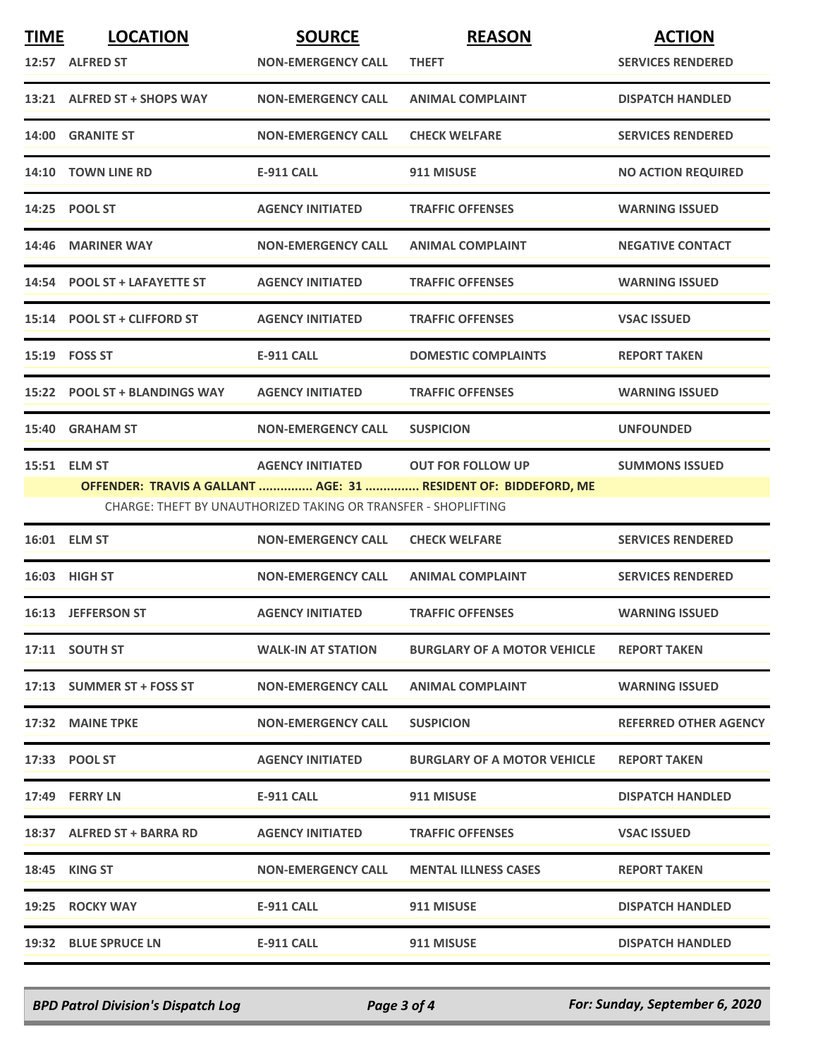| <b>TIME</b> | <b>LOCATION</b><br>12:57 ALFRED ST | <b>SOURCE</b><br><b>NON-EMERGENCY CALL</b>                                                           | <b>REASON</b><br><b>THEFT</b>                                   | <b>ACTION</b><br><b>SERVICES RENDERED</b> |
|-------------|------------------------------------|------------------------------------------------------------------------------------------------------|-----------------------------------------------------------------|-------------------------------------------|
|             | 13:21 ALFRED ST + SHOPS WAY        | <b>NON-EMERGENCY CALL</b>                                                                            | <b>ANIMAL COMPLAINT</b>                                         | <b>DISPATCH HANDLED</b>                   |
|             | 14:00 GRANITE ST                   | <b>NON-EMERGENCY CALL</b>                                                                            | <b>CHECK WELFARE</b>                                            | <b>SERVICES RENDERED</b>                  |
|             | 14:10 TOWN LINE RD                 | <b>E-911 CALL</b>                                                                                    | 911 MISUSE                                                      | <b>NO ACTION REQUIRED</b>                 |
|             | 14:25 POOL ST                      | <b>AGENCY INITIATED</b>                                                                              | <b>TRAFFIC OFFENSES</b>                                         | <b>WARNING ISSUED</b>                     |
|             | 14:46 MARINER WAY                  | <b>NON-EMERGENCY CALL</b>                                                                            | <b>ANIMAL COMPLAINT</b>                                         | <b>NEGATIVE CONTACT</b>                   |
|             | 14:54 POOL ST + LAFAYETTE ST       | <b>AGENCY INITIATED</b>                                                                              | <b>TRAFFIC OFFENSES</b>                                         | <b>WARNING ISSUED</b>                     |
|             | 15:14 POOL ST + CLIFFORD ST        | <b>AGENCY INITIATED</b>                                                                              | <b>TRAFFIC OFFENSES</b>                                         | <b>VSAC ISSUED</b>                        |
|             | 15:19    FOSS ST                   | <b>E-911 CALL</b>                                                                                    | <b>DOMESTIC COMPLAINTS</b>                                      | <b>REPORT TAKEN</b>                       |
|             | 15:22 POOL ST + BLANDINGS WAY      | <b>AGENCY INITIATED</b>                                                                              | <b>TRAFFIC OFFENSES</b>                                         | <b>WARNING ISSUED</b>                     |
|             | 15:40 GRAHAM ST                    | <b>NON-EMERGENCY CALL</b>                                                                            | <b>SUSPICION</b>                                                | <b>UNFOUNDED</b>                          |
|             | 15:51 ELM ST                       | AGENCY INITIATED OUT FOR FOLLOW UP<br>CHARGE: THEFT BY UNAUTHORIZED TAKING OR TRANSFER - SHOPLIFTING | OFFENDER: TRAVIS A GALLANT  AGE: 31  RESIDENT OF: BIDDEFORD, ME | <b>SUMMONS ISSUED</b>                     |
|             | 16:01 ELM ST                       | <b>NON-EMERGENCY CALL</b>                                                                            | <b>CHECK WELFARE</b>                                            | <b>SERVICES RENDERED</b>                  |
|             | 16:03 HIGH ST                      | <b>NON-EMERGENCY CALL</b>                                                                            | <b>ANIMAL COMPLAINT</b>                                         | <b>SERVICES RENDERED</b>                  |
|             | 16:13 JEFFERSON ST                 | <b>AGENCY INITIATED</b>                                                                              | <b>TRAFFIC OFFENSES</b>                                         | <b>WARNING ISSUED</b>                     |
|             | 17:11 SOUTH ST                     | <b>WALK-IN AT STATION</b>                                                                            | <b>BURGLARY OF A MOTOR VEHICLE</b>                              | <b>REPORT TAKEN</b>                       |
|             | 17:13 SUMMER ST + FOSS ST          | <b>NON-EMERGENCY CALL</b>                                                                            | ANIMAL COMPLAINT                                                | <b>WARNING ISSUED</b>                     |
|             | 17:32 MAINE TPKE                   | <b>NON-EMERGENCY CALL</b>                                                                            | <b>SUSPICION</b>                                                | <b>REFERRED OTHER AGENCY</b>              |
|             | 17:33 POOL ST                      | <b>AGENCY INITIATED</b>                                                                              | <b>BURGLARY OF A MOTOR VEHICLE</b>                              | <b>REPORT TAKEN</b>                       |
|             | 17:49 FERRY LN                     | E-911 CALL                                                                                           | 911 MISUSE                                                      | <b>DISPATCH HANDLED</b>                   |
|             | 18:37 ALFRED ST + BARRA RD         | <b>AGENCY INITIATED</b>                                                                              | <b>TRAFFIC OFFENSES</b>                                         | <b>VSAC ISSUED</b>                        |
|             | <b>18:45 KING ST</b>               | <b>NON-EMERGENCY CALL</b>                                                                            | <b>MENTAL ILLNESS CASES</b>                                     | <b>REPORT TAKEN</b>                       |
|             | 19:25 ROCKY WAY                    | <b>E-911 CALL</b>                                                                                    | 911 MISUSE                                                      | <b>DISPATCH HANDLED</b>                   |
|             | 19:32 BLUE SPRUCE LN               | E-911 CALL                                                                                           | 911 MISUSE                                                      | <b>DISPATCH HANDLED</b>                   |

*BPD Patrol Division's Dispatch Log Page 3 of 4 For: Sunday, September 6, 2020*